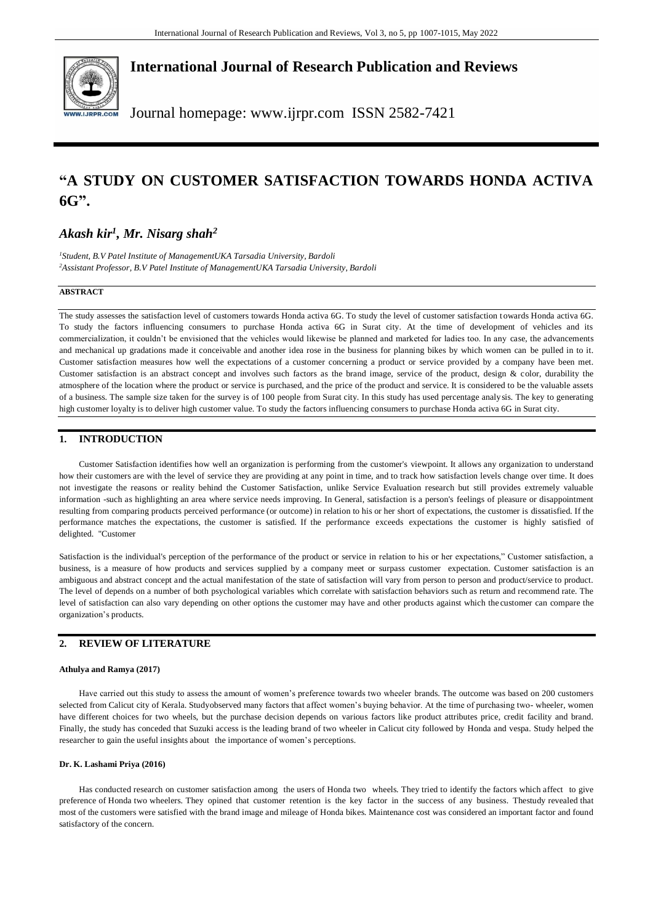

**International Journal of Research Publication and Reviews**

Journal homepage: www.ijrpr.com ISSN 2582-7421

# **"A STUDY ON CUSTOMER SATISFACTION TOWARDS HONDA ACTIVA 6G".**

*Akash kir<sup>1</sup> , Mr. Nisarg shah<sup>2</sup>*

*1 Student, B.V Patel Institute of ManagementUKA Tarsadia University, Bardoli <sup>2</sup>Assistant Professor, B.V Patel Institute of ManagementUKA Tarsadia University, Bardoli*

# **ABSTRACT**

The study assesses the satisfaction level of customers towards Honda activa 6G. To study the level of customer satisfaction t owards Honda activa 6G. To study the factors influencing consumers to purchase Honda activa 6G in Surat city. At the time of development of vehicles and its commercialization, it couldn't be envisioned that the vehicles would likewise be planned and marketed for ladies too. In any case, the advancements and mechanical up gradations made it conceivable and another idea rose in the business for planning bikes by which women can be pulled in to it. Customer satisfaction measures how well the expectations of a customer concerning a product or service provided by a company have been met. Customer satisfaction is an abstract concept and involves such factors as the brand image, service of the product, design & color, durability the atmosphere of the location where the product or service is purchased, and the price of the product and service. It is considered to be the valuable assets of a business. The sample size taken for the survey is of 100 people from Surat city. In this study has used percentage analysis. The key to generating high customer loyalty is to deliver high customer value. To study the factors influencing consumers to purchase Honda activa 6G in Surat city.

# **1. INTRODUCTION**

Customer Satisfaction identifies how well an organization is performing from the customer's viewpoint. It allows any organization to understand how their customers are with the level of service they are providing at any point in time, and to track how satisfaction levels change over time. It does not investigate the reasons or reality behind the Customer Satisfaction, unlike Service Evaluation research but still provides extremely valuable information -such as highlighting an area where service needs improving. In General, satisfaction is a person's feelings of pleasure or disappointment resulting from comparing products perceived performance (or outcome) in relation to his or her short of expectations, the customer is dissatisfied. If the performance matches the expectations, the customer is satisfied. If the performance exceeds expectations the customer is highly satisfied of delighted. "Customer

Satisfaction is the individual's perception of the performance of the product or service in relation to his or her expectations," Customer satisfaction, a business, is a measure of how products and services supplied by a company meet or surpass customer expectation. Customer satisfaction is an ambiguous and abstract concept and the actual manifestation of the state of satisfaction will vary from person to person and product/service to product. The level of depends on a number of both psychological variables which correlate with satisfaction behaviors such as return and recommend rate. The level of satisfaction can also vary depending on other options the customer may have and other products against which the customer can compare the organization's products.

# **2. REVIEW OF LITERATURE**

# **Athulya and Ramya (2017)**

Have carried out this study to assess the amount of women's preference towards two wheeler brands. The outcome was based on 200 customers selected from Calicut city of Kerala. Studyobserved many factors that affect women's buying behavior. At the time of purchasing two- wheeler, women have different choices for two wheels, but the purchase decision depends on various factors like product attributes price, credit facility and brand. Finally, the study has conceded that Suzuki access is the leading brand of two wheeler in Calicut city followed by Honda and vespa. Study helped the researcher to gain the useful insights about the importance of women's perceptions.

# **Dr. K. Lashami Priya (2016)**

Has conducted research on customer satisfaction among the users of Honda two wheels. They tried to identify the factors which affect to give preference of Honda two wheelers. They opined that customer retention is the key factor in the success of any business. Thestudy revealed that most of the customers were satisfied with the brand image and mileage of Honda bikes. Maintenance cost was considered an important factor and found satisfactory of the concern.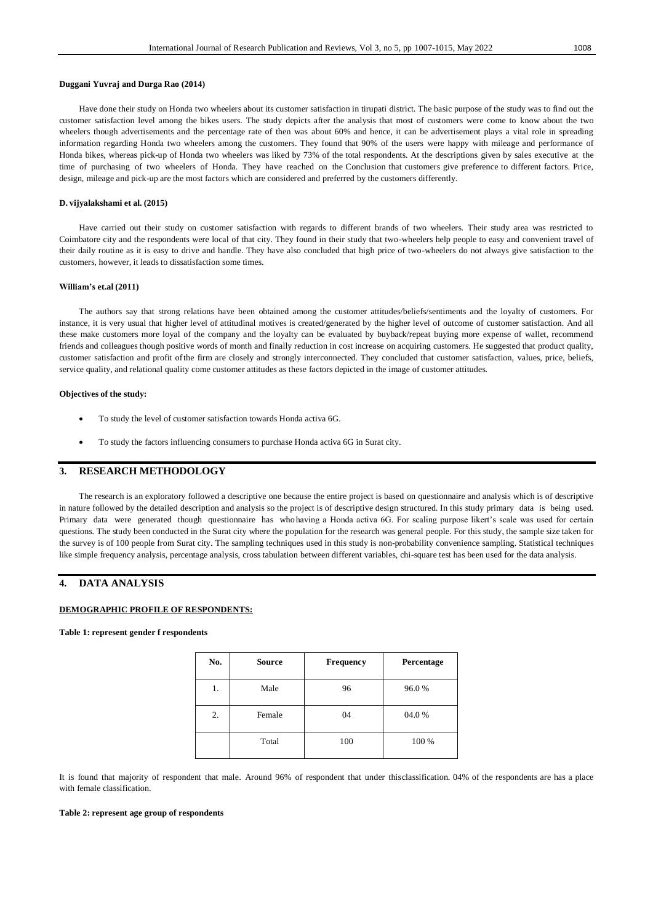#### **Duggani Yuvraj and Durga Rao (2014)**

Have done their study on Honda two wheelers about its customer satisfaction in tirupati district. The basic purpose of the study was to find out the customer satisfaction level among the bikes users. The study depicts after the analysis that most of customers were come to know about the two wheelers though advertisements and the percentage rate of then was about 60% and hence, it can be advertisement plays a vital role in spreading information regarding Honda two wheelers among the customers. They found that 90% of the users were happy with mileage and performance of Honda bikes, whereas pick-up of Honda two wheelers was liked by 73% of the total respondents. At the descriptions given by sales executive at the time of purchasing of two wheelers of Honda. They have reached on the Conclusion that customers give preference to different factors. Price, design, mileage and pick-up are the most factors which are considered and preferred by the customers differently.

### **D. vijyalakshami et al. (2015)**

Have carried out their study on customer satisfaction with regards to different brands of two wheelers. Their study area was restricted to Coimbatore city and the respondents were local of that city. They found in their study that two-wheelers help people to easy and convenient travel of their daily routine as it is easy to drive and handle. They have also concluded that high price of two-wheelers do not always give satisfaction to the customers, however, it leads to dissatisfaction some times.

### **William's et.al (2011)**

The authors say that strong relations have been obtained among the customer attitudes/beliefs/sentiments and the loyalty of customers. For instance, it is very usual that higher level of attitudinal motives is created/generated by the higher level of outcome of customer satisfaction. And all these make customers more loyal of the company and the loyalty can be evaluated by buyback/repeat buying more expense of wallet, recommend friends and colleagues though positive words of month and finally reduction in cost increase on acquiring customers. He suggested that product quality, customer satisfaction and profit ofthe firm are closely and strongly interconnected. They concluded that customer satisfaction, values, price, beliefs, service quality, and relational quality come customer attitudes as these factors depicted in the image of customer attitudes.

### **Objectives of the study:**

- To study the level of customer satisfaction towards Honda activa 6G.
- To study the factors influencing consumers to purchase Honda activa 6G in Surat city.

## **3. RESEARCH METHODOLOGY**

The research is an exploratory followed a descriptive one because the entire project is based on questionnaire and analysis which is of descriptive in nature followed by the detailed description and analysis so the project is of descriptive design structured. In this study primary data is being used. Primary data were generated though questionnaire has who having a Honda activa 6G. For scaling purpose likert's scale was used for certain questions. The study been conducted in the Surat city where the population for the research was general people. For this study, the sample size taken for the survey is of 100 people from Surat city. The sampling techniques used in this study is non-probability convenience sampling. Statistical techniques like simple frequency analysis, percentage analysis, cross tabulation between different variables, chi-square test has been used for the data analysis.

# **4. DATA ANALYSIS**

### **DEMOGRAPHIC PROFILE OF RESPONDENTS:**

#### **Table 1: represent gender f respondents**

| No. | <b>Source</b> | <b>Frequency</b> | Percentage |
|-----|---------------|------------------|------------|
| 1.  | Male          | 96               | 96.0%      |
| 2.  | Female        | 04               | 04.0%      |
|     | Total         | 100              | 100 %      |

It is found that majority of respondent that male. Around 96% of respondent that under thisclassification. 04% of the respondents are has a place with female classification.

### **Table 2: represent age group of respondents**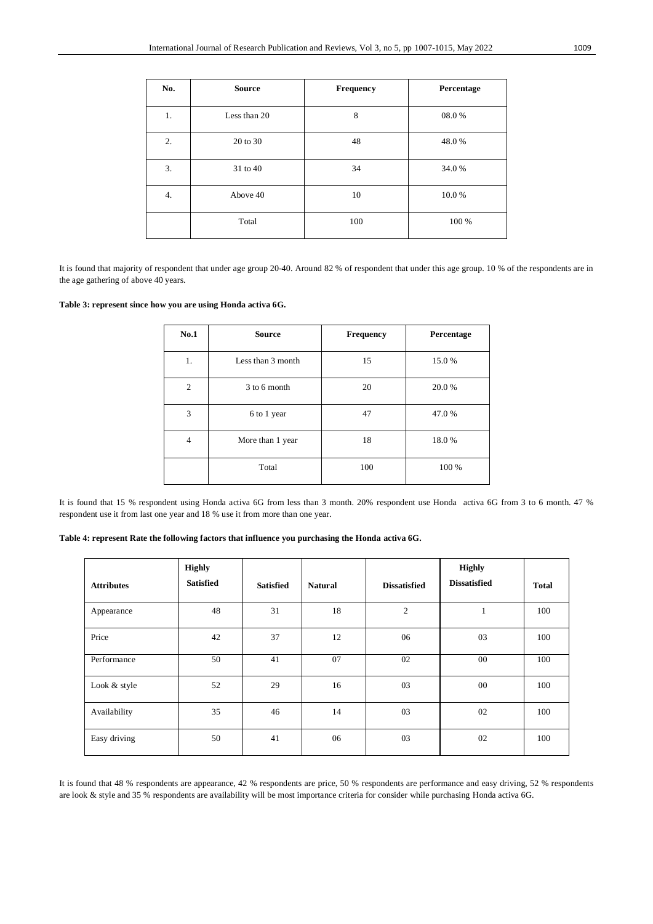| No. | <b>Source</b> | Frequency | Percentage |
|-----|---------------|-----------|------------|
| 1.  | Less than 20  | 8         | 08.0%      |
| 2.  | 20 to 30      | 48        | 48.0%      |
| 3.  | 31 to 40      | 34        | 34.0%      |
| 4.  | Above 40      | 10        | 10.0%      |
|     | Total         | 100       | 100 %      |

It is found that majority of respondent that under age group 20-40. Around 82 % of respondent that under this age group. 10 % of the respondents are in the age gathering of above 40 years.

# **Table 3: represent since how you are using Honda activa 6G.**

| No.1           | <b>Source</b>     | <b>Frequency</b> | Percentage |
|----------------|-------------------|------------------|------------|
| 1.             | Less than 3 month | 15               | 15.0%      |
| $\overline{2}$ | 3 to 6 month      | 20               | 20.0%      |
| 3              | 6 to 1 year       | 47               | 47.0%      |
| 4              | More than 1 year  | 18               | 18.0%      |
|                | Total             | 100              | 100 %      |

It is found that 15 % respondent using Honda activa 6G from less than 3 month. 20% respondent use Honda activa 6G from 3 to 6 month. 47 % respondent use it from last one year and 18 % use it from more than one year.

### **Table 4: represent Rate the following factors that influence you purchasing the Honda activa 6G.**

| <b>Attributes</b> | <b>Highly</b><br><b>Satisfied</b> | <b>Satisfied</b> | <b>Natural</b> | <b>Dissatisfied</b> | <b>Highly</b><br><b>Dissatisfied</b> | <b>Total</b> |
|-------------------|-----------------------------------|------------------|----------------|---------------------|--------------------------------------|--------------|
| Appearance        | 48                                | 31               | 18             | $\overline{2}$      | 1                                    | 100          |
| Price             | 42                                | 37               | 12             | 06                  | 03                                   | 100          |
| Performance       | 50                                | 41               | 07             | 02                  | $00\,$                               | 100          |
| Look & style      | 52                                | 29               | 16             | 03                  | $00\,$                               | 100          |
| Availability      | 35                                | 46               | 14             | 03                  | 02                                   | 100          |
| Easy driving      | 50                                | 41               | 06             | 03                  | 02                                   | 100          |

It is found that 48 % respondents are appearance, 42 % respondents are price, 50 % respondents are performance and easy driving, 52 % respondents are look & style and 35 % respondents are availability will be most importance criteria for consider while purchasing Honda activa 6G.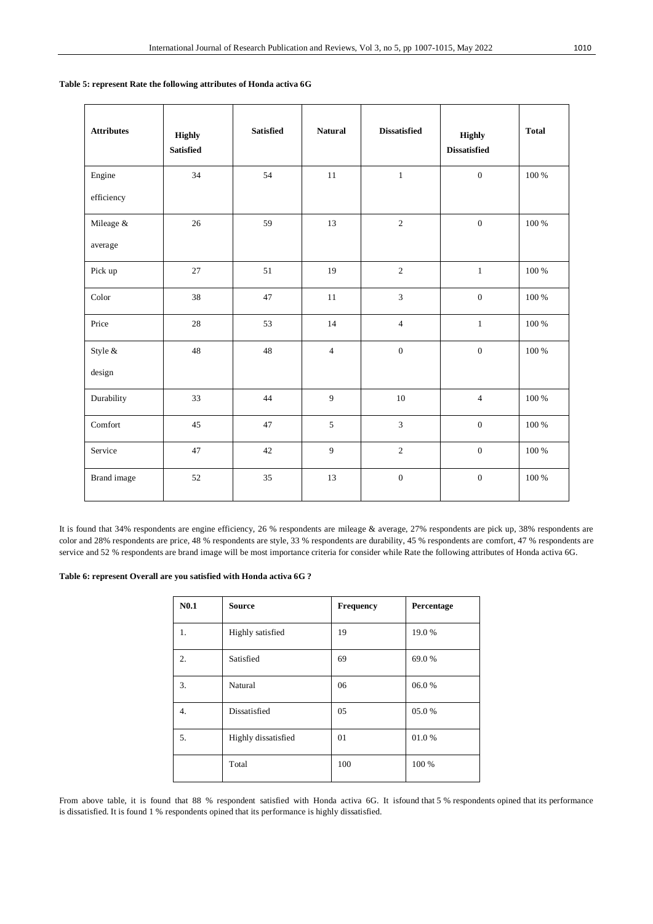|  | Table 5: represent Rate the following attributes of Honda activa 6G |  |  |
|--|---------------------------------------------------------------------|--|--|
|--|---------------------------------------------------------------------|--|--|

| <b>Attributes</b> | <b>Highly</b><br><b>Satisfied</b> | <b>Satisfied</b> | <b>Natural</b> | <b>Dissatisfied</b> | <b>Highly</b><br><b>Dissatisfied</b> | <b>Total</b> |
|-------------------|-----------------------------------|------------------|----------------|---------------------|--------------------------------------|--------------|
| Engine            | 34                                | 54               | 11             | $\,1\,$             | $\boldsymbol{0}$                     | 100 %        |
| efficiency        |                                   |                  |                |                     |                                      |              |
| Mileage &         | 26                                | 59               | 13             | $\sqrt{2}$          | $\boldsymbol{0}$                     | 100 %        |
| average           |                                   |                  |                |                     |                                      |              |
| Pick up           | 27                                | 51               | 19             | 2                   | $\mathbf{1}$                         | $100\,\%$    |
| Color             | 38                                | 47               | 11             | $\mathfrak{Z}$      | $\boldsymbol{0}$                     | $100~\%$     |
| Price             | $28\,$                            | 53               | 14             | $\overline{4}$      | $\,1$                                | 100 %        |
| Style &           | 48                                | 48               | $\overline{4}$ | $\boldsymbol{0}$    | $\boldsymbol{0}$                     | 100 %        |
| design            |                                   |                  |                |                     |                                      |              |
| Durability        | 33                                | 44               | $\overline{9}$ | $10\,$              | $\overline{4}$                       | $100~\%$     |
| Comfort           | 45                                | 47               | $\sqrt{5}$     | $\mathfrak{Z}$      | $\boldsymbol{0}$                     | 100 %        |
| Service           | 47                                | $42\,$           | $\overline{9}$ | $\sqrt{2}$          | $\overline{0}$                       | 100 %        |
| Brand image       | 52                                | 35               | 13             | $\boldsymbol{0}$    | $\boldsymbol{0}$                     | 100 %        |

It is found that 34% respondents are engine efficiency, 26 % respondents are mileage & average, 27% respondents are pick up, 38% respondents are color and 28% respondents are price, 48 % respondents are style, 33 % respondents are durability, 45 % respondents are comfort, 47 % respondents are service and 52 % respondents are brand image will be most importance criteria for consider while Rate the following attributes of Honda activa 6G.

**Table 6: represent Overall are you satisfied with Honda activa 6G ?**

| N0.1 | <b>Source</b>       | <b>Frequency</b> | Percentage |
|------|---------------------|------------------|------------|
| 1.   | Highly satisfied    | 19               | 19.0%      |
| 2.   | Satisfied           | 69               | 69.0%      |
| 3.   | Natural             | 06               | 06.0%      |
| 4.   | Dissatisfied        | 05               | 05.0%      |
| 5.   | Highly dissatisfied | 01               | 01.0%      |
|      | Total               | 100              | 100 %      |

From above table, it is found that 88 % respondent satisfied with Honda activa 6G. It isfound that 5 % respondents opined that its performance is dissatisfied. It is found 1 % respondents opined that its performance is highly dissatisfied.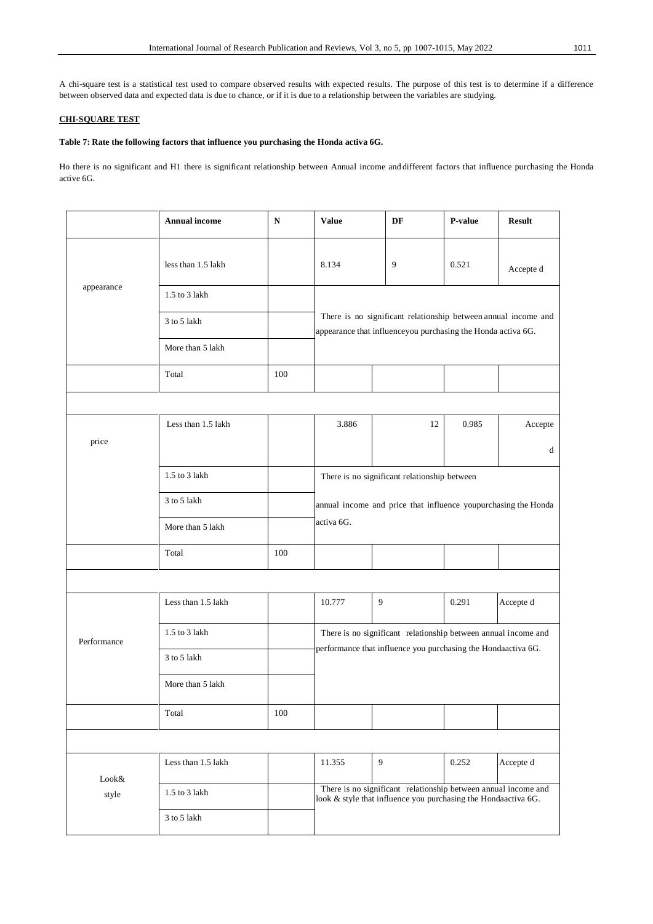A chi-square test is a statistical test used to compare observed results with expected results. The purpose of this test is to determine if a difference between observed data and expected data is due to chance, or if it is due to a relationship between the variables are studying.

# **CHI-SQUARE TEST**

# **Table 7: Rate the following factors that influence you purchasing the Honda activa 6G.**

Ho there is no significant and H1 there is significant relationship between Annual income and different factors that influence purchasing the Honda active 6G.

|             | <b>Annual income</b> | N   | <b>Value</b> | DF                                                                                                                               | P-value | <b>Result</b> |
|-------------|----------------------|-----|--------------|----------------------------------------------------------------------------------------------------------------------------------|---------|---------------|
|             | less than 1.5 lakh   |     | 8.134        | 9                                                                                                                                | 0.521   | Accepte d     |
| appearance  | 1.5 to 3 lakh        |     |              |                                                                                                                                  |         |               |
|             | 3 to 5 lakh          |     |              | There is no significant relationship between annual income and<br>appearance that influenceyou purchasing the Honda activa 6G.   |         |               |
|             | More than 5 lakh     |     |              |                                                                                                                                  |         |               |
|             | Total                | 100 |              |                                                                                                                                  |         |               |
|             |                      |     |              |                                                                                                                                  |         |               |
| price       | Less than 1.5 lakh   |     | 3.886        | 12                                                                                                                               | 0.985   | Accepte       |
|             |                      |     |              |                                                                                                                                  |         | d             |
|             | $1.5$ to $3$ lakh    |     |              | There is no significant relationship between                                                                                     |         |               |
|             | 3 to 5 lakh          |     |              | annual income and price that influence youpurchasing the Honda                                                                   |         |               |
|             | More than 5 lakh     |     | activa 6G.   |                                                                                                                                  |         |               |
|             | Total                | 100 |              |                                                                                                                                  |         |               |
|             |                      |     |              |                                                                                                                                  |         |               |
|             | Less than 1.5 lakh   |     | 10.777       | 9                                                                                                                                | 0.291   | Accepte d     |
| Performance | 1.5 to 3 lakh        |     |              | There is no significant relationship between annual income and<br>performance that influence you purchasing the Hondaactiva 6G.  |         |               |
|             | 3 to 5 lakh          |     |              |                                                                                                                                  |         |               |
|             | More than 5 lakh     |     |              |                                                                                                                                  |         |               |
|             | Total                | 100 |              |                                                                                                                                  |         |               |
|             |                      |     |              |                                                                                                                                  |         |               |
| Look&       | Less than 1.5 lakh   |     | 11.355       | $\overline{9}$                                                                                                                   | 0.252   | Accepte d     |
| style       | 1.5 to 3 lakh        |     |              | There is no significant relationship between annual income and<br>look & style that influence you purchasing the Hondaactiva 6G. |         |               |
|             | 3 to 5 lakh          |     |              |                                                                                                                                  |         |               |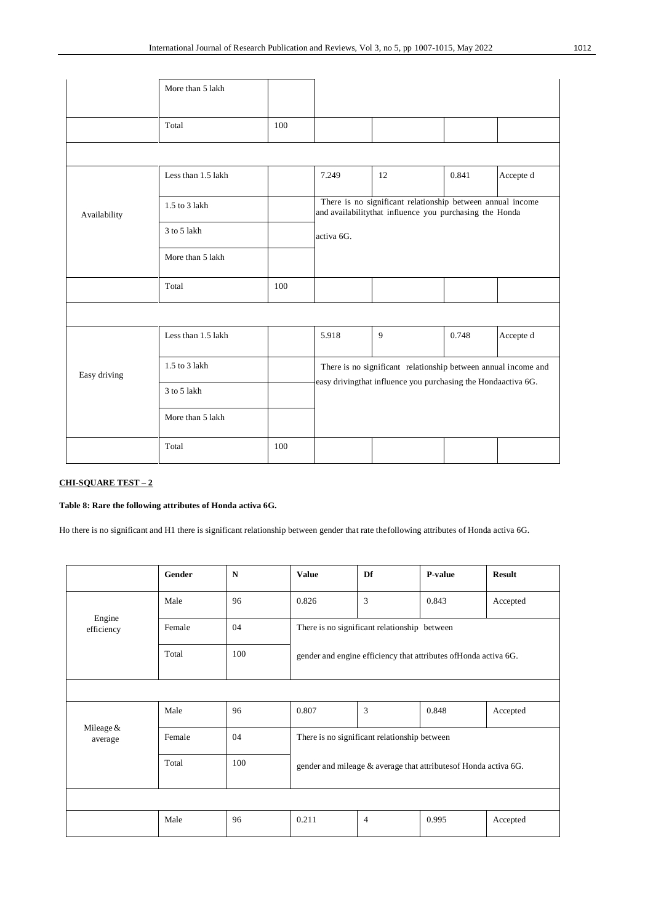|              | More than 5 lakh   |     |            |                                                                                                                                 |       |           |  |  |
|--------------|--------------------|-----|------------|---------------------------------------------------------------------------------------------------------------------------------|-------|-----------|--|--|
|              | Total              | 100 |            |                                                                                                                                 |       |           |  |  |
|              |                    |     |            |                                                                                                                                 |       |           |  |  |
|              | Less than 1.5 lakh |     | 7.249      | 12                                                                                                                              | 0.841 | Accepte d |  |  |
| Availability | 1.5 to 3 lakh      |     |            | There is no significant relationship between annual income<br>and availabilitythat influence you purchasing the Honda           |       |           |  |  |
|              | 3 to 5 lakh        |     | activa 6G. |                                                                                                                                 |       |           |  |  |
|              | More than 5 lakh   |     |            |                                                                                                                                 |       |           |  |  |
|              | Total              | 100 |            |                                                                                                                                 |       |           |  |  |
|              |                    |     |            |                                                                                                                                 |       |           |  |  |
|              | Less than 1.5 lakh |     | 5.918      | 9                                                                                                                               | 0.748 | Accepte d |  |  |
| Easy driving | 1.5 to 3 lakh      |     |            | There is no significant relationship between annual income and<br>easy drivingthat influence you purchasing the Hondaactiva 6G. |       |           |  |  |
|              | 3 to 5 lakh        |     |            |                                                                                                                                 |       |           |  |  |
|              | More than 5 lakh   |     |            |                                                                                                                                 |       |           |  |  |
|              | Total              | 100 |            |                                                                                                                                 |       |           |  |  |

# **CHI-SQUARE TEST – 2**

# **Table 8: Rare the following attributes of Honda activa 6G.**

Ho there is no significant and H1 there is significant relationship between gender that rate thefollowing attributes of Honda activa 6G.

|                        | Gender | N   | <b>Value</b>                                                     | Df                                                               | <b>P-value</b> | <b>Result</b> |  |
|------------------------|--------|-----|------------------------------------------------------------------|------------------------------------------------------------------|----------------|---------------|--|
|                        | Male   | 96  | 0.826                                                            | 3                                                                | 0.843          | Accepted      |  |
| Engine<br>efficiency   | Female | 04  | There is no significant relationship between                     |                                                                  |                |               |  |
| 100<br>Total           |        |     |                                                                  | gender and engine efficiency that attributes of Honda activa 6G. |                |               |  |
|                        |        |     |                                                                  |                                                                  |                |               |  |
|                        | Male   | 96  | 0.807                                                            | 3                                                                | 0.848          | Accepted      |  |
| Mileage $&$<br>average | Female | 04  | There is no significant relationship between                     |                                                                  |                |               |  |
| Total                  |        | 100 | gender and mileage & average that attributes of Honda activa 6G. |                                                                  |                |               |  |
|                        |        |     |                                                                  |                                                                  |                |               |  |
|                        | Male   | 96  | 0.211                                                            | $\overline{4}$                                                   | 0.995          | Accepted      |  |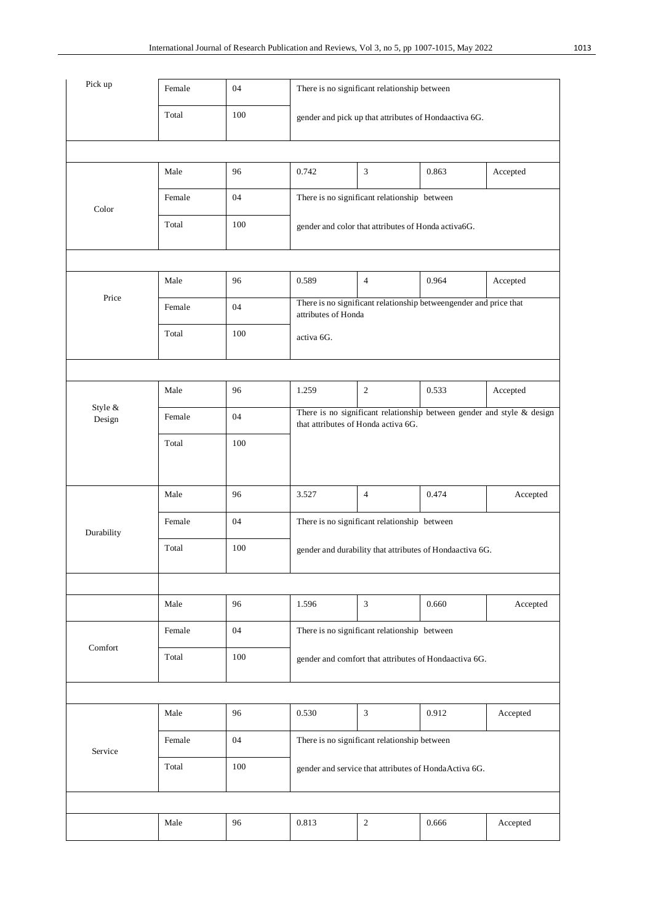| Pick up           | Female | 04  | There is no significant relationship between                                                                     |                                                     |                                                                   |          |  |
|-------------------|--------|-----|------------------------------------------------------------------------------------------------------------------|-----------------------------------------------------|-------------------------------------------------------------------|----------|--|
|                   | Total  | 100 | gender and pick up that attributes of Hondaactiva 6G.                                                            |                                                     |                                                                   |          |  |
|                   |        |     |                                                                                                                  |                                                     |                                                                   |          |  |
|                   | Male   | 96  | 0.742                                                                                                            | 3                                                   | 0.863                                                             | Accepted |  |
| Color             | Female | 04  |                                                                                                                  | There is no significant relationship between        |                                                                   |          |  |
|                   | Total  | 100 |                                                                                                                  | gender and color that attributes of Honda activa6G. |                                                                   |          |  |
|                   |        |     |                                                                                                                  |                                                     |                                                                   |          |  |
|                   | Male   | 96  | 0.589                                                                                                            | $\overline{4}$                                      | 0.964                                                             | Accepted |  |
| Price             | Female | 04  | attributes of Honda                                                                                              |                                                     | There is no significant relationship betweengender and price that |          |  |
|                   | Total  | 100 | activa 6G.                                                                                                       |                                                     |                                                                   |          |  |
|                   |        |     |                                                                                                                  |                                                     |                                                                   |          |  |
|                   | Male   | 96  | 1.259                                                                                                            | $\sqrt{2}$                                          | 0.533                                                             | Accepted |  |
| Style &<br>Design | Female | 04  | There is no significant relationship between gender and style $\&$ design<br>that attributes of Honda activa 6G. |                                                     |                                                                   |          |  |
|                   | Total  | 100 |                                                                                                                  |                                                     |                                                                   |          |  |
|                   |        |     |                                                                                                                  |                                                     |                                                                   |          |  |
|                   | Male   | 96  | 3.527                                                                                                            | $\overline{4}$                                      | 0.474                                                             | Accepted |  |
| Durability        | Female | 04  |                                                                                                                  | There is no significant relationship between        |                                                                   |          |  |
|                   | Total  | 100 |                                                                                                                  |                                                     | gender and durability that attributes of Hondaactiva 6G.          |          |  |
|                   |        |     |                                                                                                                  |                                                     |                                                                   |          |  |
|                   | Male   | 96  | 1.596                                                                                                            | 3                                                   | 0.660                                                             | Accepted |  |
|                   | Female | 04  |                                                                                                                  | There is no significant relationship between        |                                                                   |          |  |
| Comfort           | Total  | 100 |                                                                                                                  |                                                     | gender and comfort that attributes of Hondaactiva 6G.             |          |  |
|                   |        |     |                                                                                                                  |                                                     |                                                                   |          |  |
|                   | Male   | 96  | 0.530                                                                                                            | $\mathfrak{Z}$                                      | 0.912                                                             | Accepted |  |
| Service           | Female | 04  |                                                                                                                  | There is no significant relationship between        |                                                                   |          |  |
|                   | Total  | 100 | gender and service that attributes of HondaActiva 6G.                                                            |                                                     |                                                                   |          |  |
|                   |        |     |                                                                                                                  |                                                     |                                                                   |          |  |
|                   | Male   | 96  | 0.813                                                                                                            | $\sqrt{2}$                                          | 0.666                                                             | Accepted |  |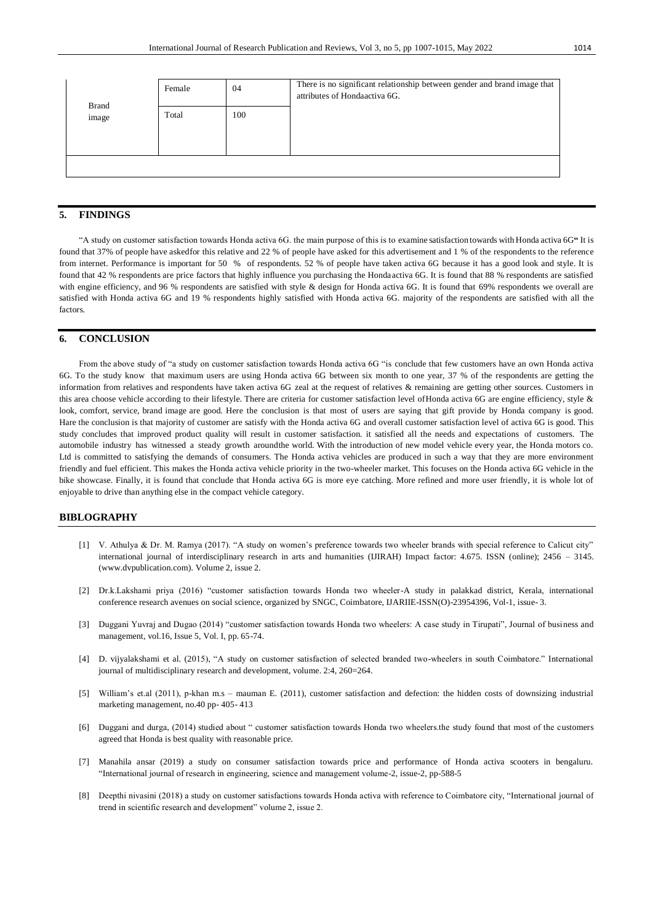| <b>Brand</b> | Female | 04  | There is no significant relationship between gender and brand image that<br>attributes of Hondaactiva 6G. |
|--------------|--------|-----|-----------------------------------------------------------------------------------------------------------|
| image        | Total  | 100 |                                                                                                           |
|              |        |     |                                                                                                           |

# **5. FINDINGS**

"A study on customer satisfaction towards Honda activa 6G. the main purpose of this is to examine satisfaction towards with Honda activa 6G**"** It is found that 37% of people have askedfor this relative and 22 % of people have asked for this advertisement and 1 % of the respondents to the reference from internet. Performance is important for 50 % of respondents. 52 % of people have taken activa 6G because it has a good look and style. It is found that 42 % respondents are price factors that highly influence you purchasing the Hondaactiva 6G. It is found that 88 % respondents are satisfied with engine efficiency, and 96 % respondents are satisfied with style & design for Honda activa 6G. It is found that 69% respondents we overall are satisfied with Honda activa 6G and 19 % respondents highly satisfied with Honda activa 6G. majority of the respondents are satisfied with all the factors.

# **6. CONCLUSION**

From the above study of "a study on customer satisfaction towards Honda activa 6G "is conclude that few customers have an own Honda activa 6G. To the study know that maximum users are using Honda activa 6G between six month to one year, 37 % of the respondents are getting the information from relatives and respondents have taken activa 6G zeal at the request of relatives & remaining are getting other sources. Customers in this area choose vehicle according to their lifestyle. There are criteria for customer satisfaction level of Honda activa 6G are engine efficiency, style & look, comfort, service, brand image are good. Here the conclusion is that most of users are saying that gift provide by Honda company is good. Hare the conclusion is that majority of customer are satisfy with the Honda activa 6G and overall customer satisfaction level of activa 6G is good. This study concludes that improved product quality will result in customer satisfaction. it satisfied all the needs and expectations of customers. The automobile industry has witnessed a steady growth aroundthe world. With the introduction of new model vehicle every year, the Honda motors co. Ltd is committed to satisfying the demands of consumers. The Honda activa vehicles are produced in such a way that they are more environment friendly and fuel efficient. This makes the Honda activa vehicle priority in the two-wheeler market. This focuses on the Honda activa 6G vehicle in the bike showcase. Finally, it is found that conclude that Honda activa 6G is more eye catching. More refined and more user friendly, it is whole lot of enjoyable to drive than anything else in the compact vehicle category.

# **BIBLOGRAPHY**

- [1] V. Athulya & Dr. M. Ramya (2017). "A study on women's preference towards two wheeler brands with special reference to Calicut city" international journal of interdisciplinary research in arts and humanities (IJIRAH) Impact factor: 4.675. ISSN (online); 2456 – 3145. [\(www.dvpublication.com\)](http://www.dvpublication.com/). Volume 2, issue 2.
- [2] Dr.k.Lakshami priya (2016) "customer satisfaction towards Honda two wheeler-A study in palakkad district, Kerala, international conference research avenues on social science, organized by SNGC, Coimbatore, IJARIIE-ISSN(O)-23954396, Vol-1, issue- 3.
- [3] Duggani Yuvraj and Dugao (2014) "customer satisfaction towards Honda two wheelers: A case study in Tirupati", Journal of business and management, vol.16, Issue 5, Vol. I, pp. 65-74.
- [4] D. vijyalakshami et al. (2015), "A study on customer satisfaction of selected branded two-wheelers in south Coimbatore." International journal of multidisciplinary research and development, volume. 2:4, 260=264.
- [5] William's et.al (2011), p-khan m.s mauman E. (2011), customer satisfaction and defection: the hidden costs of downsizing industrial marketing management, no.40 pp- 405- 413
- [6] Duggani and durga, (2014) studied about " customer satisfaction towards Honda two wheelers.the study found that most of the customers agreed that Honda is best quality with reasonable price.
- [7] Manahila ansar (2019) a study on consumer satisfaction towards price and performance of Honda activa scooters in bengaluru. "International journal of research in engineering, science and management volume-2, issue-2, pp-588-5
- [8] Deepthi nivasini (2018) a study on customer satisfactions towards Honda activa with reference to Coimbatore city, "International journal of trend in scientific research and development" volume 2, issue 2.